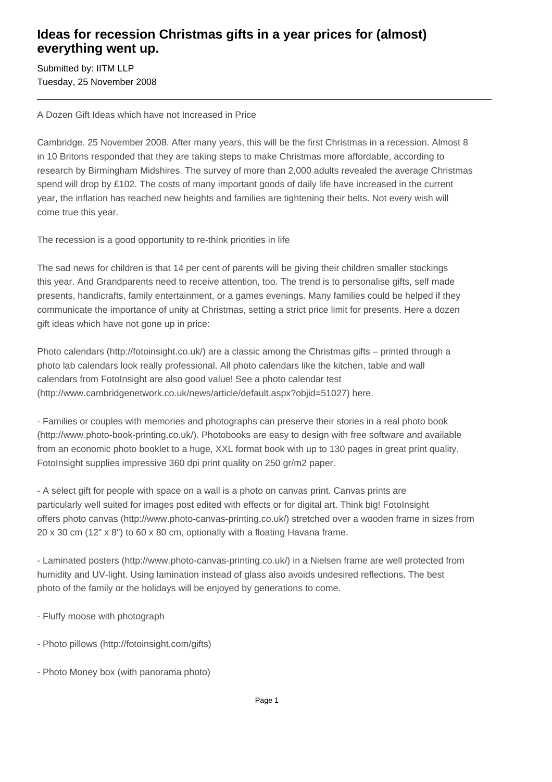## **Ideas for recession Christmas gifts in a year prices for (almost) everything went up.**

Submitted by: IITM LLP Tuesday, 25 November 2008

A Dozen Gift Ideas which have not Increased in Price

Cambridge. 25 November 2008. After many years, this will be the first Christmas in a recession. Almost 8 in 10 Britons responded that they are taking steps to make Christmas more affordable, according to research by Birmingham Midshires. The survey of more than 2,000 adults revealed the average Christmas spend will drop by £102. The costs of many important goods of daily life have increased in the current year, the inflation has reached new heights and families are tightening their belts. Not every wish will come true this year.

The recession is a good opportunity to re-think priorities in life

The sad news for children is that 14 per cent of parents will be giving their children smaller stockings this year. And Grandparents need to receive attention, too. The trend is to personalise gifts, self made presents, handicrafts, family entertainment, or a games evenings. Many families could be helped if they communicate the importance of unity at Christmas, setting a strict price limit for presents. Here a dozen gift ideas which have not gone up in price:

Photo calendars (http://fotoinsight.co.uk/) are a classic among the Christmas gifts – printed through a photo lab calendars look really professional. All photo calendars like the kitchen, table and wall calendars from FotoInsight are also good value! See a photo calendar test (http://www.cambridgenetwork.co.uk/news/article/default.aspx?objid=51027) here.

- Families or couples with memories and photographs can preserve their stories in a real photo book (http://www.photo-book-printing.co.uk/). Photobooks are easy to design with free software and available from an economic photo booklet to a huge, XXL format book with up to 130 pages in great print quality. FotoInsight supplies impressive 360 dpi print quality on 250 gr/m2 paper.

- A select gift for people with space on a wall is a photo on canvas print. Canvas prints are particularly well suited for images post edited with effects or for digital art. Think big! FotoInsight offers photo canvas (http://www.photo-canvas-printing.co.uk/) stretched over a wooden frame in sizes from 20 x 30 cm (12" x 8") to 60 x 80 cm, optionally with a floating Havana frame.

- Laminated posters (http://www.photo-canvas-printing.co.uk/) in a Nielsen frame are well protected from humidity and UV-light. Using lamination instead of glass also avoids undesired reflections. The best photo of the family or the holidays will be enjoyed by generations to come.

- Fluffy moose with photograph
- Photo pillows (http://fotoinsight.com/gifts)
- Photo Money box (with panorama photo)